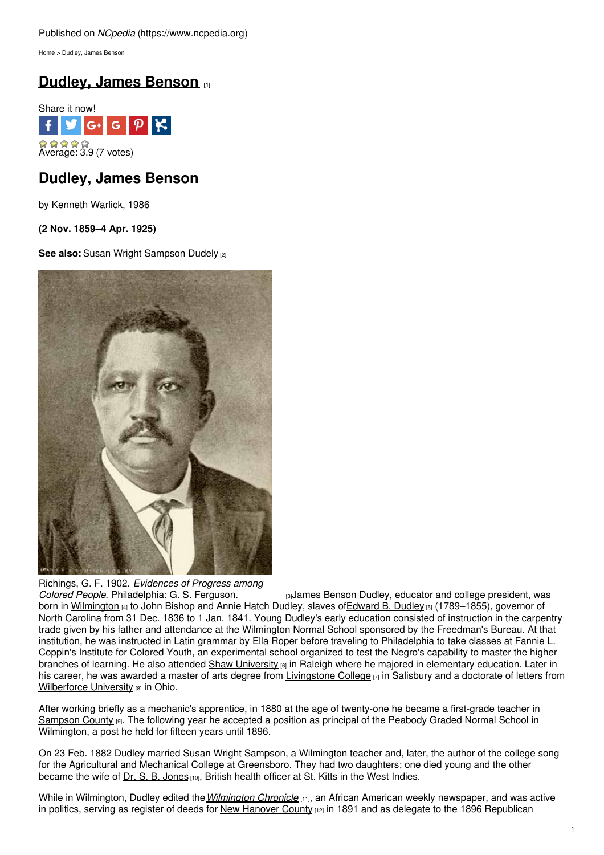[Home](https://www.ncpedia.org/) > Dudley, James Benson

## **Dudley, James [Benson](https://www.ncpedia.org/biography/dudley-james-benson) [1]**



## **Dudley, James Benson**

by Kenneth Warlick, 1986

**(2 Nov. 1859–4 Apr. 1925)**

**See also:** Susan Wright [Sampson](https://www.ncpedia.org/biography/dudley-susan-sampson) Dudely [2]



Richings, G. F. 1902. *Evidences of Progress among*

*Colored People*. [Philadelphia:](https://docsouth.unc.edu/church/richings/ill69.html) G. S. Ferguson. [3]James Benson Dudley, educator and college president, was born in [Wilmington](https://ncpedia.org/geography/wilmington) (4) to John Bishop and Annie Hatch Dudley, slaves of Edward B. Dudley [5] (1789–1855), governor of North Carolina from 31 Dec. 1836 to 1 Jan. 1841. Young Dudley's early education consisted of instruction in the carpentry trade given by his father and attendance at the Wilmington Normal School sponsored by the Freedman's Bureau. At that institution, he was instructed in Latin grammar by Ella Roper before traveling to Philadelphia to take classes at Fannie L. Coppin's Institute for Colored Youth, an experimental school organized to test the Negro's capability to master the higher branches of learning. He also attended Shaw [University](https://www.ncpedia.org/shaw-university) <sub>[6]</sub> in Raleigh where he majored in elementary education. Later in his career, he was awarded a master of arts degree from [Livingstone](https://www.ncpedia.org/livingstone-college) College  $\eta$  in Salisbury and a doctorate of letters from [Wilberforce](http://www.wilberforce.edu) University [8] in Ohio.

After working briefly as a mechanic's apprentice, in 1880 at the age of twenty-one he became a first-grade teacher in [Sampson](https://www.ncpedia.org/geography/sampson) County [9]. The following year he accepted a position as principal of the Peabody Graded Normal School in Wilmington, a post he held for fifteen years until 1896.

On 23 Feb. 1882 Dudley married Susan Wright Sampson, a Wilmington teacher and, later, the author of the college song for the Agricultural and Mechanical College at Greensboro. They had two daughters; one died young and the other became the wife of Dr. S. B. [Jones](https://www.worldcat.org/oclc/16786648) [10], British health officer at St. Kitts in the West Indies.

While in Wilmington, Dudley edited the*[Wilmington](https://www.worldcat.org/oclc/12008587) Chronicle* [11], an African American weekly newspaper, and was active in politics, serving as register of deeds for New [Hanover](https://www.ncpedia.org/geography/new-hanover) County [12] in 1891 and as delegate to the 1896 Republican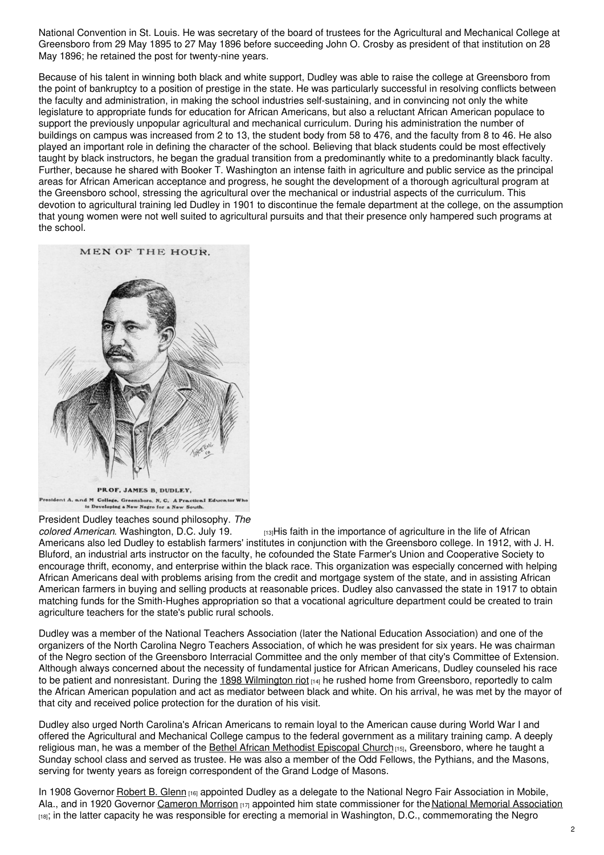National Convention in St. Louis. He was secretary of the board of trustees for the Agricultural and Mechanical College at Greensboro from 29 May 1895 to 27 May 1896 before succeeding John O. Crosby as president of that institution on 28 May 1896; he retained the post for twenty-nine years.

Because of his talent in winning both black and white support, Dudley was able to raise the college at Greensboro from the point of bankruptcy to a position of prestige in the state. He was particularly successful in resolving conflicts between the faculty and administration, in making the school industries self-sustaining, and in convincing not only the white legislature to appropriate funds for education for African Americans, but also a reluctant African American populace to support the previously unpopular agricultural and mechanical curriculum. During his administration the number of buildings on campus was increased from 2 to 13, the student body from 58 to 476, and the faculty from 8 to 46. He also played an important role in defining the character of the school. Believing that black students could be most effectively taught by black instructors, he began the gradual transition from a predominantly white to a predominantly black faculty. Further, because he shared with Booker T. Washington an intense faith in agriculture and public service as the principal areas for African American acceptance and progress, he sought the development of a thorough agricultural program at the Greensboro school, stressing the agricultural over the mechanical or industrial aspects of the curriculum. This devotion to agricultural training led Dudley in 1901 to discontinue the female department at the college, on the assumption that young women were not well suited to agricultural pursuits and that their presence only hampered such programs at the school.



President A, and M College, Greensboro, N, C, A Practical Educator Wi<br>is Developing a New Negro for a New South.

# President Dudley teaches sound philosophy. *The*

*coloreda American Americance* of agriculture in the life of African Americans also led Dudley to establish farmers' institutes in conjunction with the Greensboro college. In 1912, with J. H. Bluford, an industrial arts instructor on the faculty, he cofounded the State Farmer's Union and Cooperative Society to encourage thrift, economy, and enterprise within the black race. This organization was especially concerned with helping African Americans deal with problems arising from the credit and mortgage system of the state, and in assisting African American farmers in buying and selling products at reasonable prices. Dudley also canvassed the state in 1917 to obtain matching funds for the Smith-Hughes appropriation so that a vocational agriculture department could be created to train agriculture teachers for the state's public rural schools.

Dudley was a member of the National Teachers Association (later the National Education Association) and one of the organizers of the North Carolina Negro Teachers Association, of which he was president for six years. He was chairman of the Negro section of the Greensboro Interracial Committee and the only member of that city's Committee of Extension. Although always concerned about the necessity of fundamental justice for African Americans, Dudley counseled his race to be patient and nonresistant. During the 1898 [Wilmington](https://ncpedia.org/history/cw-1900/wilmington-race-riot) riot [14] he rushed home from Greensboro, reportedly to calm the African American population and act as mediator between black and white. On his arrival, he was met by the mayor of that city and received police protection for the duration of his visit.

Dudley also urged North Carolina's African Americans to remain loyal to the American cause during World War I and offered the Agricultural and Mechanical College campus to the federal government as a military training camp. A deeply religious man, he was a member of the Bethel African Methodist [Episcopal](http://bethelamegsb.com/) Church<sub>[15]</sub>, Greensboro, where he taught a Sunday school class and served as trustee. He was also a member of the Odd Fellows, the Pythians, and the Masons, serving for twenty years as foreign correspondent of the Grand Lodge of Masons.

In 1908 Governor [Robert](https://ncpedia.org/biography/governors/glenn) B. Glenn  $_{[16]}$  appointed Dudley as a delegate to the National Negro Fair Association in Mobile, Ala., and in 1920 Governor [Cameron](https://ncpedia.org/biography/governors/morrison) Morrison [17] appointed him state commissioner for the National Memorial [Association](http://credo.library.umass.edu/view/full/mums312-b035-i537) [18]; in the latter capacity he was responsible for erecting a memorial in Washington, D.C., commemorating the Negro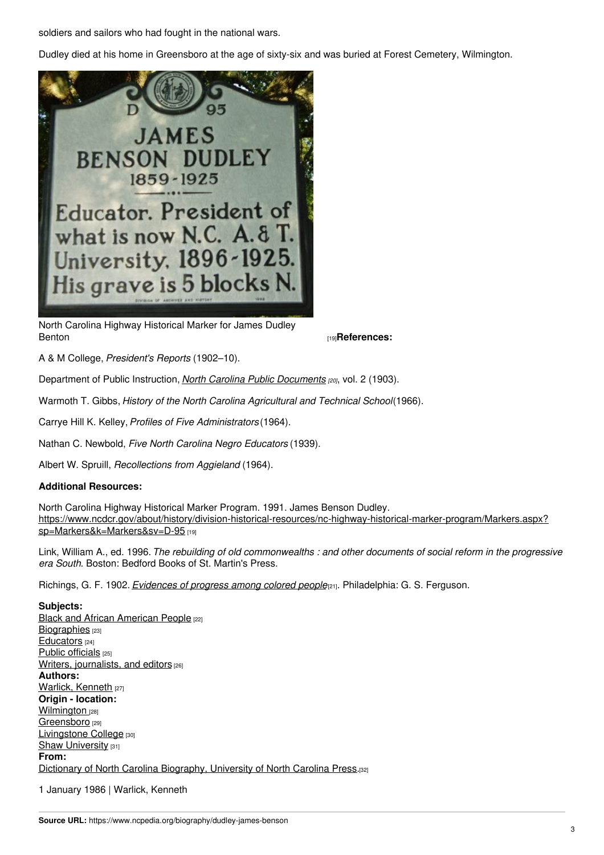soldiers and sailors who had fought in the national wars.

Dudley died at his home in Greensboro at the age of sixty-six and was buried at Forest Cemetery, Wilmington.



North Carolina Highway Historical Marker for James Dudley [Benton](https://www.ncdcr.gov/about/history/division-historical-resources/nc-highway-historical-marker-program/Markers.aspx?sp=Markers&k=Markers&sv=D-95) **Exercise Exercise Exercise Section**  $\mathbf{19}$ **References:** 

A & M College, *President's Reports* (1902–10).

Department of Public Instruction, *North Carolina Public [Documents](https://archive.org/details/publicdocumentso19032nort) [20]*, vol. 2 (1903).

Warmoth T. Gibbs, *History of the North Carolina Agricultural and Technical School*(1966).

Carrye Hill K. Kelley,*Profiles of Five Administrators* (1964).

Nathan C. Newbold, *Five North Carolina Negro Educators* (1939).

Albert W. Spruill, *Recollections from Aggieland* (1964).

### **Additional Resources:**

North Carolina Highway Historical Marker Program. 1991. James Benson Dudley. [https://www.ncdcr.gov/about/history/division-historical-resources/nc-highway-historical-marker-program/Markers.aspx?](https://www.ncdcr.gov/about/history/division-historical-resources/nc-highway-historical-marker-program/Markers.aspx?sp=Markers&k=Markers&sv=D-95) sp=Markers&k=Markers&sv=D-95 [19]

Link, William A., ed. 1996. The rebuilding of old commonwealths : and other documents of social reform in the progressive *era South*. Boston: Bedford Books of St. Martin's Press.

Richings, G. F. 1902. *[Evidences](https://docsouth.unc.edu/church/richings/richings.html) of progress among colored people*[21]. Philadelphia: G. S. Ferguson.

**Subjects:** Black and African [American](https://www.ncpedia.org/category/subjects/african-americans) People [22] [Biographies](https://www.ncpedia.org/category/subjects/biography-term) [23] [Educators](https://www.ncpedia.org/category/subjects/educators) [24] Public [officials](https://www.ncpedia.org/category/subjects/public-officials) [25] Writers, [journalists,](https://www.ncpedia.org/category/subjects/writer) and editors [26] **Authors:** Warlick, [Kenneth](https://www.ncpedia.org/category/authors/warlick-kenneth) [27] **Origin - location: [Wilmington](https://www.ncpedia.org/category/origin-location/coastal-39)** [28] [Greensboro](https://www.ncpedia.org/category/origin-location/piedmon-21) [29] [Livingstone](https://www.ncpedia.org/category/origin-location/piedmon-46) College [30] Shaw [University](https://www.ncpedia.org/category/origin-location/piedmon-48) [31] **From:** Dictionary of North Carolina [Biography,](https://www.ncpedia.org/category/entry-source/dictionary-no) University of North Carolina Press.[32]

1 January 1986 | Warlick, Kenneth